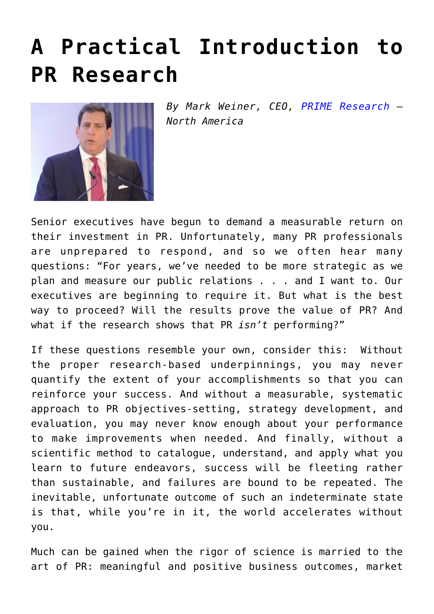## **[A Practical Introduction to](https://www.commpro.biz/a-practical-introduction-to-pr-research/) [PR Research](https://www.commpro.biz/a-practical-introduction-to-pr-research/)**



*By Mark Weiner, CEO, [PRIME Research](https://www.prime-research.com/index.php) [–](https://www.prime-research.com/index.php) North America*

Senior executives have begun to demand a measurable return on their investment in PR. Unfortunately, many PR professionals are unprepared to respond, and so we often hear many questions: "For years, we've needed to be more strategic as we plan and measure our public relations . . . and I want to. Our executives are beginning to require it. But what is the best way to proceed? Will the results prove the value of PR? And what if the research shows that PR *isn't* performing?"

If these questions resemble your own, consider this: Without the proper research-based underpinnings, you may never quantify the extent of your accomplishments so that you can reinforce your success. And without a measurable, systematic approach to PR objectives-setting, strategy development, and evaluation, you may never know enough about your performance to make improvements when needed. And finally, without a scientific method to catalogue, understand, and apply what you learn to future endeavors, success will be fleeting rather than sustainable, and failures are bound to be repeated. The inevitable, unfortunate outcome of such an indeterminate state is that, while you're in it, the world accelerates without you.

Much can be gained when the rigor of science is married to the art of PR: meaningful and positive business outcomes, market